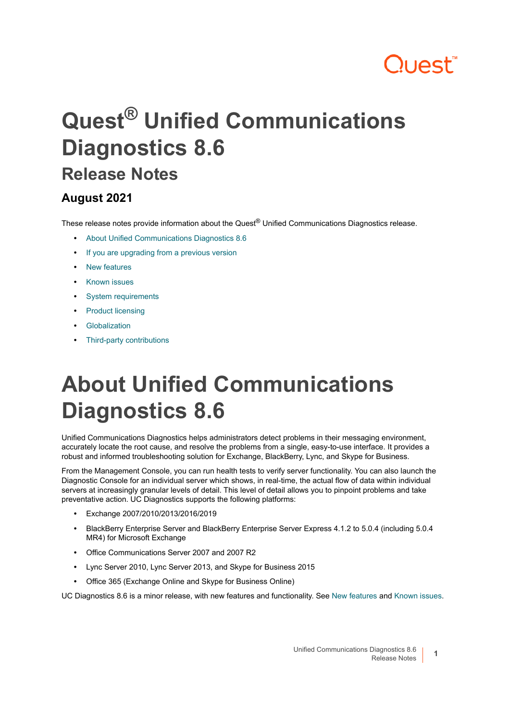# ?uest™

## **Quest® Unified Communications Diagnostics 8.6 Release Notes**

#### **August 2021**

These release notes provide information about the Quest® Unified Communications Diagnostics release.

- **•** [About Unified Communications Diagnostics 8.6](#page-0-0)
- **•** [If you are upgrading from a previous version](#page-1-1)
- **•** [New features](#page-1-0)
- **•** [Known issues](#page-2-0)
- **•** [System requirements](#page-5-0)
- **•** [Product licensing](#page-8-0)
- **•** [Globalization](#page-10-0)
- **•** [Third-party contributions](#page-12-0)

## <span id="page-0-0"></span>**About Unified Communications Diagnostics 8.6**

Unified Communications Diagnostics helps administrators detect problems in their messaging environment, accurately locate the root cause, and resolve the problems from a single, easy-to-use interface. It provides a robust and informed troubleshooting solution for Exchange, BlackBerry, Lync, and Skype for Business.

From the Management Console, you can run health tests to verify server functionality. You can also launch the Diagnostic Console for an individual server which shows, in real-time, the actual flow of data within individual servers at increasingly granular levels of detail. This level of detail allows you to pinpoint problems and take preventative action. UC Diagnostics supports the following platforms:

- **•** Exchange 2007/2010/2013/2016/2019
- **•** BlackBerry Enterprise Server and BlackBerry Enterprise Server Express 4.1.2 to 5.0.4 (including 5.0.4 MR4) for Microsoft Exchange
- **•** Office Communications Server 2007 and 2007 R2
- **•** Lync Server 2010, Lync Server 2013, and Skype for Business 2015
- **•** Office 365 (Exchange Online and Skype for Business Online)

UC Diagnostics 8.6 is a minor release, with new features and functionality. See [New features](#page-1-0) and [Known issues.](#page-2-0)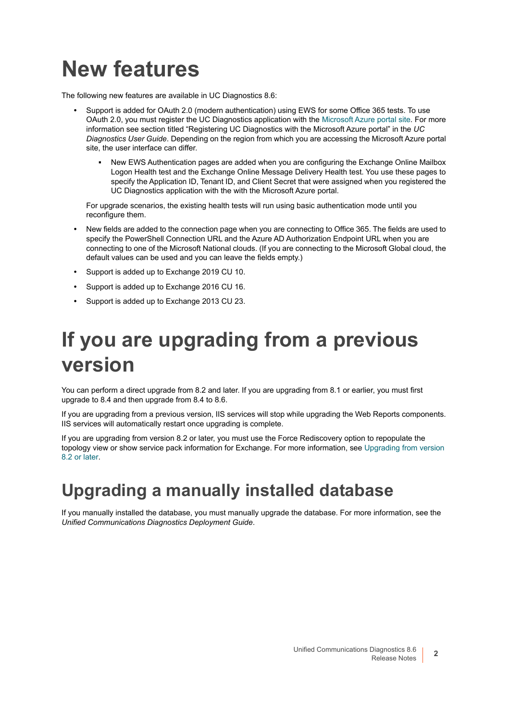# <span id="page-1-0"></span>**New features**

The following new features are available in UC Diagnostics 8.6:

- **•** Support is added for OAuth 2.0 (modern authentication) using EWS for some Office 365 tests. To use OAuth 2.0, you must register the UC Diagnostics application with the [Microsoft Azure portal site](https://aad.portal.azure.com/). For more information see section titled "Registering UC Diagnostics with the Microsoft Azure portal" in the *UC Diagnostics User Guide*. Depending on the region from which you are accessing the Microsoft Azure portal site, the user interface can differ.
	- New EWS Authentication pages are added when you are configuring the Exchange Online Mailbox Logon Health test and the Exchange Online Message Delivery Health test. You use these pages to specify the Application ID, Tenant ID, and Client Secret that were assigned when you registered the UC Diagnostics application with the with the Microsoft Azure portal.

For upgrade scenarios, the existing health tests will run using basic authentication mode until you reconfigure them.

- **•** New fields are added to the connection page when you are connecting to Office 365. The fields are used to specify the PowerShell Connection URL and the Azure AD Authorization Endpoint URL when you are connecting to one of the Microsoft National clouds. (If you are connecting to the Microsoft Global cloud, the default values can be used and you can leave the fields empty.)
- **•** Support is added up to Exchange 2019 CU 10.
- **•** Support is added up to Exchange 2016 CU 16.
- **•** Support is added up to Exchange 2013 CU 23.

### <span id="page-1-1"></span>**If you are upgrading from a previous version**

You can perform a direct upgrade from 8.2 and later. If you are upgrading from 8.1 or earlier, you must first upgrade to 8.4 and then upgrade from 8.4 to 8.6.

If you are upgrading from a previous version, IIS services will stop while upgrading the Web Reports components. IIS services will automatically restart once upgrading is complete.

If you are upgrading from version 8.2 or later, you must use the Force Rediscovery option to repopulate the topology view or show service pack information for Exchange. For more information, see [Upgrading from version](#page-2-1)  [8.2 or later.](#page-2-1)

### **Upgrading a manually installed database**

If you manually installed the database, you must manually upgrade the database. For more information, see the *Unified Communications Diagnostics Deployment Guide*.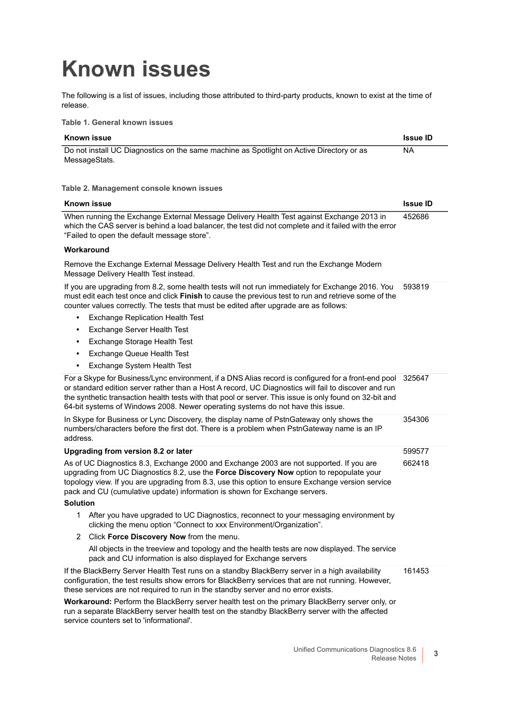# <span id="page-2-0"></span>**Known issues**

The following is a list of issues, including those attributed to third-party products, known to exist at the time of release.

**Table 1. General known issues**

<span id="page-2-1"></span>

| Table 1. General known issues                                                                                                                                                                                                                                                                                                                                                                             |                 |
|-----------------------------------------------------------------------------------------------------------------------------------------------------------------------------------------------------------------------------------------------------------------------------------------------------------------------------------------------------------------------------------------------------------|-----------------|
| <b>Known issue</b>                                                                                                                                                                                                                                                                                                                                                                                        | <b>Issue ID</b> |
| Do not install UC Diagnostics on the same machine as Spotlight on Active Directory or as<br>MessageStats.                                                                                                                                                                                                                                                                                                 | <b>NA</b>       |
| Table 2. Management console known issues                                                                                                                                                                                                                                                                                                                                                                  |                 |
| <b>Known issue</b>                                                                                                                                                                                                                                                                                                                                                                                        | <b>Issue ID</b> |
| When running the Exchange External Message Delivery Health Test against Exchange 2013 in<br>which the CAS server is behind a load balancer, the test did not complete and it failed with the error<br>"Failed to open the default message store".                                                                                                                                                         | 452686          |
| Workaround                                                                                                                                                                                                                                                                                                                                                                                                |                 |
| Remove the Exchange External Message Delivery Health Test and run the Exchange Modern<br>Message Delivery Health Test instead.                                                                                                                                                                                                                                                                            |                 |
| If you are upgrading from 8.2, some health tests will not run immediately for Exchange 2016. You<br>must edit each test once and click Finish to cause the previous test to run and retrieve some of the<br>counter values correctly. The tests that must be edited after upgrade are as follows:                                                                                                         | 593819          |
| <b>Exchange Replication Health Test</b><br>$\bullet$                                                                                                                                                                                                                                                                                                                                                      |                 |
| Exchange Server Health Test<br>٠                                                                                                                                                                                                                                                                                                                                                                          |                 |
| Exchange Storage Health Test<br>٠                                                                                                                                                                                                                                                                                                                                                                         |                 |
| Exchange Queue Health Test<br>$\bullet$                                                                                                                                                                                                                                                                                                                                                                   |                 |
| Exchange System Health Test<br>٠                                                                                                                                                                                                                                                                                                                                                                          |                 |
| For a Skype for Business/Lync environment, if a DNS Alias record is configured for a front-end pool<br>or standard edition server rather than a Host A record, UC Diagnostics will fail to discover and run<br>the synthetic transaction health tests with that pool or server. This issue is only found on 32-bit and<br>64-bit systems of Windows 2008. Newer operating systems do not have this issue. | 325647          |
| In Skype for Business or Lync Discovery, the display name of PstnGateway only shows the<br>numbers/characters before the first dot. There is a problem when PstnGateway name is an IP<br>address.                                                                                                                                                                                                         | 354306          |
| Upgrading from version 8.2 or later                                                                                                                                                                                                                                                                                                                                                                       | 599577          |
| As of UC Diagnostics 8.3, Exchange 2000 and Exchange 2003 are not supported. If you are<br>upgrading from UC Diagnostics 8.2, use the Force Discovery Now option to repopulate your<br>topology view. If you are upgrading from 8.3, use this option to ensure Exchange version service<br>pack and CU (cumulative update) information is shown for Exchange servers.                                     | 662418          |
| <b>Solution</b>                                                                                                                                                                                                                                                                                                                                                                                           |                 |
| 1 After you have upgraded to UC Diagnostics, reconnect to your messaging environment by<br>clicking the menu option "Connect to xxx Environment/Organization".                                                                                                                                                                                                                                            |                 |
| Click Force Discovery Now from the menu.<br>2                                                                                                                                                                                                                                                                                                                                                             |                 |
| All objects in the treeview and topology and the health tests are now displayed. The service<br>pack and CU information is also displayed for Exchange servers                                                                                                                                                                                                                                            |                 |
| If the BlackBerry Server Health Test runs on a standby BlackBerry server in a high availability<br>configuration, the test results show errors for BlackBerry services that are not running. However,<br>these services are not required to run in the standby server and no error exists.                                                                                                                | 161453          |
| Workaround: Perform the BlackBerry server health test on the primary BlackBerry server only, or<br>run a separate BlackBerry server health test on the standby BlackBerry server with the affected<br>service counters set to 'informational'.                                                                                                                                                            |                 |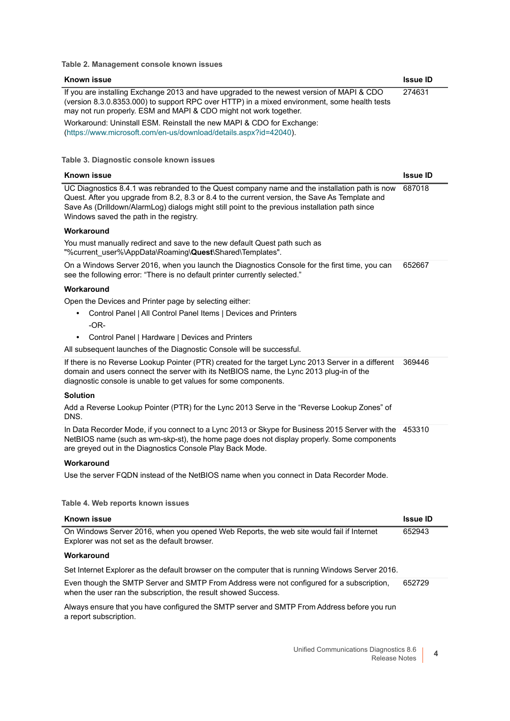#### **Table 2. Management console known issues**

| <b>Known issue</b>                                                                                                                                                                                                                                                                                                                           | <b>Issue ID</b> |
|----------------------------------------------------------------------------------------------------------------------------------------------------------------------------------------------------------------------------------------------------------------------------------------------------------------------------------------------|-----------------|
| If you are installing Exchange 2013 and have upgraded to the newest version of MAPI & CDO<br>(version 8.3.0.8353.000) to support RPC over HTTP) in a mixed environment, some health tests<br>may not run properly. ESM and MAPI & CDO might not work together.                                                                               | 274631          |
| Workaround: Uninstall ESM. Reinstall the new MAPI & CDO for Exchange:<br>(https://www.microsoft.com/en-us/download/details.aspx?id=42040).                                                                                                                                                                                                   |                 |
| Table 3. Diagnostic console known issues                                                                                                                                                                                                                                                                                                     |                 |
| <b>Known issue</b>                                                                                                                                                                                                                                                                                                                           | <b>Issue ID</b> |
| UC Diagnostics 8.4.1 was rebranded to the Quest company name and the installation path is now<br>Quest. After you upgrade from 8.2, 8.3 or 8.4 to the current version, the Save As Template and<br>Save As (Drilldown/AlarmLog) dialogs might still point to the previous installation path since<br>Windows saved the path in the registry. | 687018          |
| Workaround                                                                                                                                                                                                                                                                                                                                   |                 |
| You must manually redirect and save to the new default Quest path such as<br>"%current user%\AppData\Roaming\Quest\Shared\Templates".                                                                                                                                                                                                        |                 |
| On a Windows Server 2016, when you launch the Diagnostics Console for the first time, you can<br>see the following error: "There is no default printer currently selected."                                                                                                                                                                  | 652667          |
| Workaround                                                                                                                                                                                                                                                                                                                                   |                 |
| Open the Devices and Printer page by selecting either:                                                                                                                                                                                                                                                                                       |                 |
| Control Panel   All Control Panel Items   Devices and Printers<br>$\bullet$<br>$-OR-$                                                                                                                                                                                                                                                        |                 |
| Control Panel   Hardware   Devices and Printers<br>$\bullet$                                                                                                                                                                                                                                                                                 |                 |
| All subsequent launches of the Diagnostic Console will be successful.                                                                                                                                                                                                                                                                        |                 |
| If there is no Reverse Lookup Pointer (PTR) created for the target Lync 2013 Server in a different<br>domain and users connect the server with its NetBIOS name, the Lync 2013 plug-in of the<br>diagnostic console is unable to get values for some components.                                                                             | 369446          |
| <b>Solution</b>                                                                                                                                                                                                                                                                                                                              |                 |
| Add a Reverse Lookup Pointer (PTR) for the Lync 2013 Serve in the "Reverse Lookup Zones" of<br>DNS.                                                                                                                                                                                                                                          |                 |
| In Data Recorder Mode, if you connect to a Lync 2013 or Skype for Business 2015 Server with the<br>NetBIOS name (such as wm-skp-st), the home page does not display properly. Some components<br>are greyed out in the Diagnostics Console Play Back Mode.                                                                                   | 453310          |
| Workaround                                                                                                                                                                                                                                                                                                                                   |                 |

Use the server FQDN instead of the NetBIOS name when you connect in Data Recorder Mode.

**Table 4. Web reports known issues**

| Known issue                                                                                                                              | <b>Issue ID</b> |
|------------------------------------------------------------------------------------------------------------------------------------------|-----------------|
| On Windows Server 2016, when you opened Web Reports, the web site would fail if Internet<br>Explorer was not set as the default browser. | 652943          |
| Workaround                                                                                                                               |                 |
| Set Internet Explorer as the default browser on the computer that is running Windows Server 2016.                                        |                 |

Even though the SMTP Server and SMTP From Address were not configured for a subscription, when the user ran the subscription, the result showed Success. 652729

Always ensure that you have configured the SMTP server and SMTP From Address before you run a report subscription.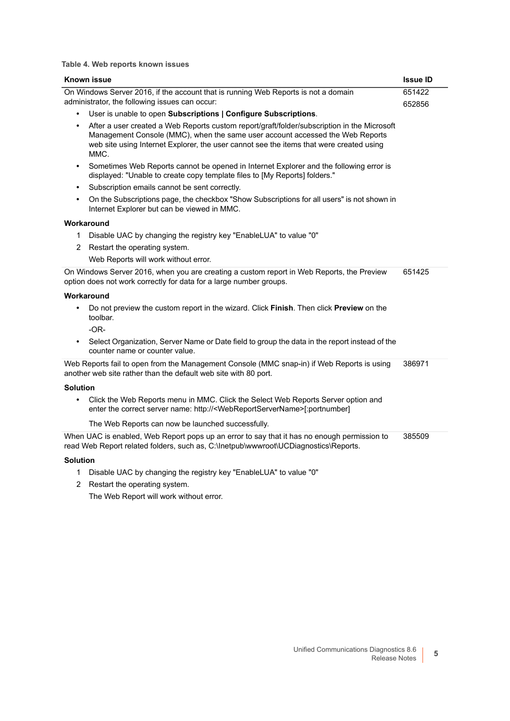#### **Table 4. Web reports known issues**

| <b>Known issue</b>                                                                                                                                                                                                                                                                           | <b>Issue ID</b> |
|----------------------------------------------------------------------------------------------------------------------------------------------------------------------------------------------------------------------------------------------------------------------------------------------|-----------------|
| On Windows Server 2016, if the account that is running Web Reports is not a domain                                                                                                                                                                                                           | 651422          |
| administrator, the following issues can occur:                                                                                                                                                                                                                                               | 652856          |
| User is unable to open Subscriptions   Configure Subscriptions.<br>$\bullet$                                                                                                                                                                                                                 |                 |
| After a user created a Web Reports custom report/graft/folder/subscription in the Microsoft<br>$\bullet$<br>Management Console (MMC), when the same user account accessed the Web Reports<br>web site using Internet Explorer, the user cannot see the items that were created using<br>MMC. |                 |
| Sometimes Web Reports cannot be opened in Internet Explorer and the following error is<br>$\bullet$<br>displayed: "Unable to create copy template files to [My Reports] folders."                                                                                                            |                 |
| Subscription emails cannot be sent correctly.<br>$\bullet$                                                                                                                                                                                                                                   |                 |
| On the Subscriptions page, the checkbox "Show Subscriptions for all users" is not shown in<br>$\bullet$<br>Internet Explorer but can be viewed in MMC.                                                                                                                                       |                 |
| Workaround                                                                                                                                                                                                                                                                                   |                 |
| Disable UAC by changing the registry key "EnableLUA" to value "0"<br>1                                                                                                                                                                                                                       |                 |
| 2 Restart the operating system.                                                                                                                                                                                                                                                              |                 |
| Web Reports will work without error.                                                                                                                                                                                                                                                         |                 |
| On Windows Server 2016, when you are creating a custom report in Web Reports, the Preview<br>option does not work correctly for data for a large number groups.                                                                                                                              | 651425          |
| Workaround                                                                                                                                                                                                                                                                                   |                 |
| Do not preview the custom report in the wizard. Click Finish. Then click Preview on the<br>$\bullet$<br>toolbar.                                                                                                                                                                             |                 |
| $-OR-$                                                                                                                                                                                                                                                                                       |                 |
| Select Organization, Server Name or Date field to group the data in the report instead of the<br>$\bullet$<br>counter name or counter value.                                                                                                                                                 |                 |
| Web Reports fail to open from the Management Console (MMC snap-in) if Web Reports is using<br>another web site rather than the default web site with 80 port.                                                                                                                                | 386971          |
| <b>Solution</b>                                                                                                                                                                                                                                                                              |                 |
| Click the Web Reports menu in MMC. Click the Select Web Reports Server option and<br>$\bullet$<br>enter the correct server name: http:// <webreportservername>[:portnumber]</webreportservername>                                                                                            |                 |
| The Web Reports can now be launched successfully.                                                                                                                                                                                                                                            |                 |
| When UAC is enabled, Web Report pops up an error to say that it has no enough permission to<br>read Web Report related folders, such as, C:\Inetpub\wwwroot\UCDiagnostics\Reports.                                                                                                           | 385509          |
| <b>Solution</b>                                                                                                                                                                                                                                                                              |                 |
| Disable UAC by changing the registry key "EnableLUA" to value "0"<br>1.                                                                                                                                                                                                                      |                 |

2 Restart the operating system.

The Web Report will work without error.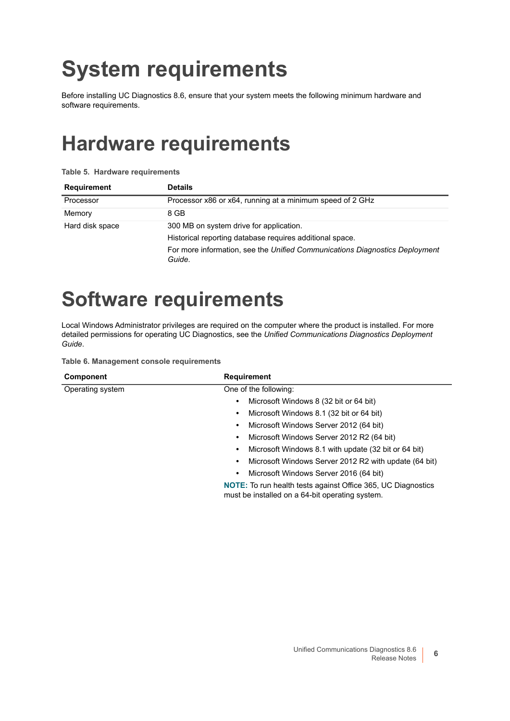# <span id="page-5-0"></span>**System requirements**

Before installing UC Diagnostics 8.6, ensure that your system meets the following minimum hardware and software requirements.

### **Hardware requirements**

**Table 5. Hardware requirements**

| <b>Requirement</b> | <b>Details</b>                                                                        |
|--------------------|---------------------------------------------------------------------------------------|
| Processor          | Processor x86 or x64, running at a minimum speed of 2 GHz                             |
| Memory             | 8 GB                                                                                  |
| Hard disk space    | 300 MB on system drive for application.                                               |
|                    | Historical reporting database requires additional space.                              |
|                    | For more information, see the Unified Communications Diagnostics Deployment<br>Guide. |

### **Software requirements**

Local Windows Administrator privileges are required on the computer where the product is installed. For more detailed permissions for operating UC Diagnostics, see the *Unified Communications Diagnostics Deployment Guide*.

**Table 6. Management console requirements**

| Component        | <b>Requirement</b>                                                                                                     |
|------------------|------------------------------------------------------------------------------------------------------------------------|
| Operating system | One of the following:                                                                                                  |
|                  | Microsoft Windows 8 (32 bit or 64 bit)                                                                                 |
|                  | Microsoft Windows 8.1 (32 bit or 64 bit)<br>$\bullet$                                                                  |
|                  | Microsoft Windows Server 2012 (64 bit)                                                                                 |
|                  | Microsoft Windows Server 2012 R2 (64 bit)<br>$\bullet$                                                                 |
|                  | Microsoft Windows 8.1 with update (32 bit or 64 bit)<br>$\bullet$                                                      |
|                  | Microsoft Windows Server 2012 R2 with update (64 bit)                                                                  |
|                  | Microsoft Windows Server 2016 (64 bit)<br>$\bullet$                                                                    |
|                  | <b>NOTE:</b> To run health tests against Office 365, UC Diagnostics<br>must be installed on a 64-bit operating system. |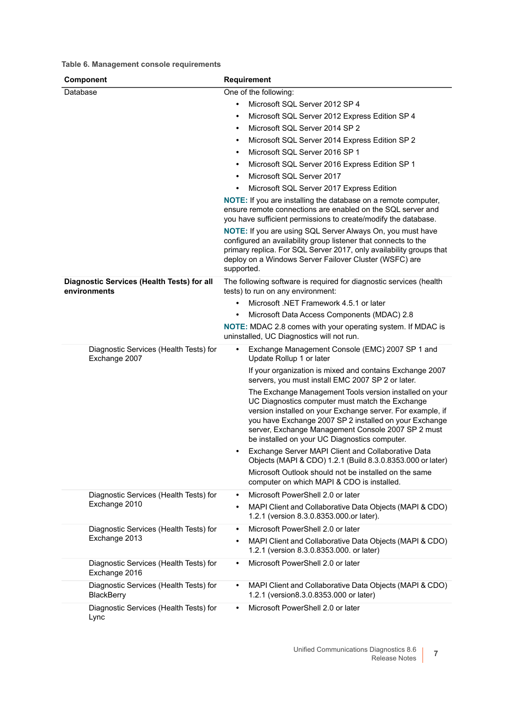**Table 6. Management console requirements**

| Component                                                   | Requirement                                                                                                                                                                                                                                                                                                                               |
|-------------------------------------------------------------|-------------------------------------------------------------------------------------------------------------------------------------------------------------------------------------------------------------------------------------------------------------------------------------------------------------------------------------------|
| Database                                                    | One of the following:                                                                                                                                                                                                                                                                                                                     |
|                                                             | Microsoft SQL Server 2012 SP 4                                                                                                                                                                                                                                                                                                            |
|                                                             | Microsoft SQL Server 2012 Express Edition SP 4<br>$\bullet$                                                                                                                                                                                                                                                                               |
|                                                             | Microsoft SQL Server 2014 SP 2<br>$\bullet$                                                                                                                                                                                                                                                                                               |
|                                                             | Microsoft SQL Server 2014 Express Edition SP 2<br>$\bullet$                                                                                                                                                                                                                                                                               |
|                                                             | Microsoft SQL Server 2016 SP 1<br>$\bullet$                                                                                                                                                                                                                                                                                               |
|                                                             | Microsoft SQL Server 2016 Express Edition SP 1<br>$\bullet$                                                                                                                                                                                                                                                                               |
|                                                             | Microsoft SQL Server 2017<br>$\bullet$                                                                                                                                                                                                                                                                                                    |
|                                                             | Microsoft SQL Server 2017 Express Edition<br>$\bullet$                                                                                                                                                                                                                                                                                    |
|                                                             | NOTE: If you are installing the database on a remote computer,<br>ensure remote connections are enabled on the SQL server and<br>you have sufficient permissions to create/modify the database.                                                                                                                                           |
|                                                             | <b>NOTE:</b> If you are using SQL Server Always On, you must have<br>configured an availability group listener that connects to the<br>primary replica. For SQL Server 2017, only availability groups that<br>deploy on a Windows Server Failover Cluster (WSFC) are<br>supported.                                                        |
| Diagnostic Services (Health Tests) for all<br>environments  | The following software is required for diagnostic services (health<br>tests) to run on any environment:                                                                                                                                                                                                                                   |
|                                                             | Microsoft .NET Framework 4.5.1 or later<br>$\bullet$                                                                                                                                                                                                                                                                                      |
|                                                             | Microsoft Data Access Components (MDAC) 2.8                                                                                                                                                                                                                                                                                               |
|                                                             | <b>NOTE:</b> MDAC 2.8 comes with your operating system. If MDAC is<br>uninstalled, UC Diagnostics will not run.                                                                                                                                                                                                                           |
| Diagnostic Services (Health Tests) for<br>Exchange 2007     | Exchange Management Console (EMC) 2007 SP 1 and<br>٠<br>Update Rollup 1 or later                                                                                                                                                                                                                                                          |
|                                                             | If your organization is mixed and contains Exchange 2007<br>servers, you must install EMC 2007 SP 2 or later.                                                                                                                                                                                                                             |
|                                                             | The Exchange Management Tools version installed on your<br>UC Diagnostics computer must match the Exchange<br>version installed on your Exchange server. For example, if<br>you have Exchange 2007 SP 2 installed on your Exchange<br>server, Exchange Management Console 2007 SP 2 must<br>be installed on your UC Diagnostics computer. |
|                                                             | Exchange Server MAPI Client and Collaborative Data<br>$\bullet$<br>Objects (MAPI & CDO) 1.2.1 (Build 8.3.0.8353.000 or later)                                                                                                                                                                                                             |
|                                                             | Microsoft Outlook should not be installed on the same<br>computer on which MAPI & CDO is installed.                                                                                                                                                                                                                                       |
| Diagnostic Services (Health Tests) for                      | Microsoft PowerShell 2.0 or later<br>$\bullet$                                                                                                                                                                                                                                                                                            |
| Exchange 2010                                               | MAPI Client and Collaborative Data Objects (MAPI & CDO)<br>$\bullet$<br>1.2.1 (version 8.3.0.8353.000.or later).                                                                                                                                                                                                                          |
| Diagnostic Services (Health Tests) for                      | Microsoft PowerShell 2.0 or later<br>$\bullet$                                                                                                                                                                                                                                                                                            |
| Exchange 2013                                               | MAPI Client and Collaborative Data Objects (MAPI & CDO)<br>$\bullet$<br>1.2.1 (version 8.3.0.8353.000. or later)                                                                                                                                                                                                                          |
| Diagnostic Services (Health Tests) for<br>Exchange 2016     | Microsoft PowerShell 2.0 or later<br>$\bullet$                                                                                                                                                                                                                                                                                            |
| Diagnostic Services (Health Tests) for<br><b>BlackBerry</b> | MAPI Client and Collaborative Data Objects (MAPI & CDO)<br>$\bullet$<br>1.2.1 (version8.3.0.8353.000 or later)                                                                                                                                                                                                                            |
| Diagnostic Services (Health Tests) for<br>Lync              | Microsoft PowerShell 2.0 or later<br>$\bullet$                                                                                                                                                                                                                                                                                            |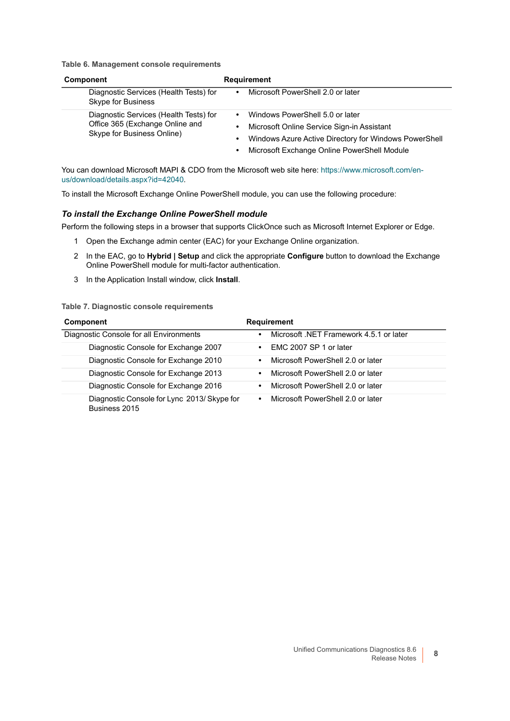**Table 6. Management console requirements**

| <b>Component</b>                                                                                        | <b>Requirement</b>                                                                                                                                                                                                                        |
|---------------------------------------------------------------------------------------------------------|-------------------------------------------------------------------------------------------------------------------------------------------------------------------------------------------------------------------------------------------|
| Diagnostic Services (Health Tests) for<br>Skype for Business                                            | Microsoft PowerShell 2.0 or later<br>$\bullet$                                                                                                                                                                                            |
| Diagnostic Services (Health Tests) for<br>Office 365 (Exchange Online and<br>Skype for Business Online) | Windows PowerShell 5.0 or later<br>$\bullet$<br>Microsoft Online Service Sign-in Assistant<br>$\bullet$<br>Windows Azure Active Directory for Windows PowerShell<br>$\bullet$<br>Microsoft Exchange Online PowerShell Module<br>$\bullet$ |

You can download Microsoft MAPI & CDO from the Microsoft web site here: https://www.microsoft.com/enus/download/details.aspx?id=42040.

To install the Microsoft Exchange Online PowerShell module, you can use the following procedure:

#### *To install the Exchange Online PowerShell module*

Perform the following steps in a browser that supports ClickOnce such as Microsoft Internet Explorer or Edge.

- 1 Open the Exchange admin center (EAC) for your Exchange Online organization.
- 2 In the EAC, go to **Hybrid | Setup** and click the appropriate **Configure** button to download the Exchange Online PowerShell module for multi-factor authentication.
- 3 In the Application Install window, click **Install**.

#### **Table 7. Diagnostic console requirements**

| <b>Component</b>                                             | <b>Requirement</b>                                   |
|--------------------------------------------------------------|------------------------------------------------------|
| Diagnostic Console for all Environments                      | Microsoft .NET Framework 4.5.1 or later<br>$\bullet$ |
| Diagnostic Console for Exchange 2007                         | EMC 2007 SP 1 or later<br>٠                          |
| Diagnostic Console for Exchange 2010                         | Microsoft PowerShell 2.0 or later<br>$\bullet$       |
| Diagnostic Console for Exchange 2013                         | Microsoft PowerShell 2.0 or later<br>٠               |
| Diagnostic Console for Exchange 2016                         | Microsoft PowerShell 2.0 or later<br>$\bullet$       |
| Diagnostic Console for Lync 2013/ Skype for<br>Business 2015 | Microsoft PowerShell 2.0 or later<br>$\bullet$       |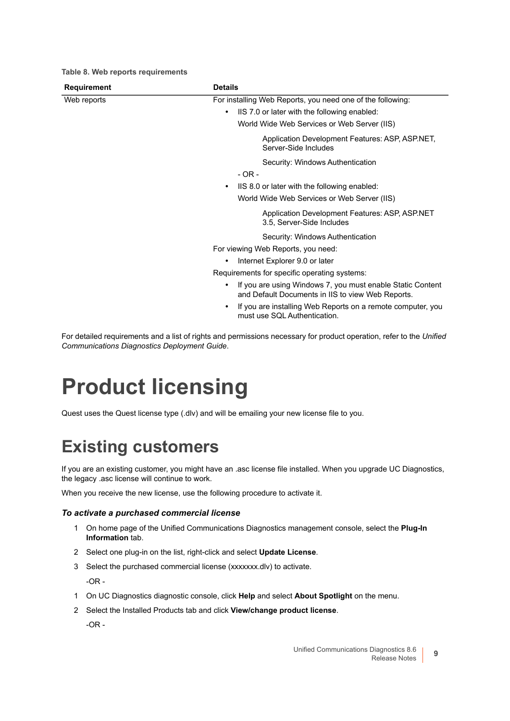|  |  |  | Table 8. Web reports requirements |
|--|--|--|-----------------------------------|
|--|--|--|-----------------------------------|

| <b>Requirement</b> | <b>Details</b>                                                                                                                                                         |
|--------------------|------------------------------------------------------------------------------------------------------------------------------------------------------------------------|
| Web reports        | For installing Web Reports, you need one of the following:<br>IIS 7.0 or later with the following enabled:<br>$\bullet$<br>World Wide Web Services or Web Server (IIS) |
|                    | Application Development Features: ASP, ASP.NET,<br>Server-Side Includes                                                                                                |
|                    | Security: Windows Authentication<br>$-OR -$<br>IIS 8.0 or later with the following enabled:<br>٠<br>World Wide Web Services or Web Server (IIS)                        |
|                    | Application Development Features: ASP, ASP.NET<br>3.5, Server-Side Includes                                                                                            |
|                    | Security: Windows Authentication                                                                                                                                       |
|                    | For viewing Web Reports, you need:                                                                                                                                     |
|                    | Internet Explorer 9.0 or later<br>$\bullet$                                                                                                                            |
|                    | Requirements for specific operating systems:                                                                                                                           |
|                    | If you are using Windows 7, you must enable Static Content<br>and Default Documents in IIS to view Web Reports.                                                        |
|                    | If you are installing Web Reports on a remote computer, you<br>٠<br>must use SQL Authentication.                                                                       |

For detailed requirements and a list of rights and permissions necessary for product operation, refer to the *Unified Communications Diagnostics Deployment Guide*.

## <span id="page-8-0"></span>**Product licensing**

Quest uses the Quest license type (.dlv) and will be emailing your new license file to you.

### **Existing customers**

If you are an existing customer, you might have an .asc license file installed. When you upgrade UC Diagnostics, the legacy .asc license will continue to work.

When you receive the new license, use the following procedure to activate it.

#### *To activate a purchased commercial license*

- 1 On home page of the Unified Communications Diagnostics management console, select the **Plug-In Information** tab.
- 2 Select one plug-in on the list, right-click and select **Update License**.
- 3 Select the purchased commercial license (xxxxxxx.dlv) to activate.
	- -OR -
- 1 On UC Diagnostics diagnostic console, click **Help** and select **About Spotlight** on the menu.
- 2 Select the Installed Products tab and click **View/change product license**.

 $-OR -$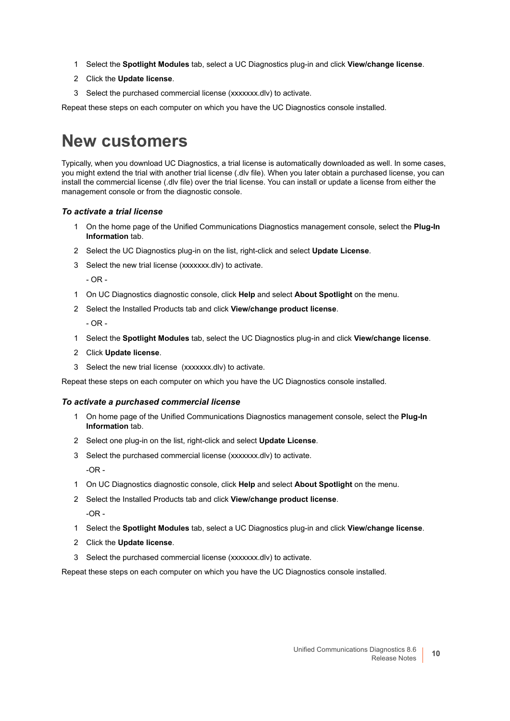- 1 Select the **Spotlight Modules** tab, select a UC Diagnostics plug-in and click **View/change license**.
- 2 Click the **Update license**.
- 3 Select the purchased commercial license (xxxxxxx.dlv) to activate.

Repeat these steps on each computer on which you have the UC Diagnostics console installed.

### **New customers**

Typically, when you download UC Diagnostics, a trial license is automatically downloaded as well. In some cases, you might extend the trial with another trial license (.dlv file). When you later obtain a purchased license, you can install the commercial license (.dlv file) over the trial license. You can install or update a license from either the management console or from the diagnostic console.

#### *To activate a trial license*

- 1 On the home page of the Unified Communications Diagnostics management console, select the **Plug-In Information** tab.
- 2 Select the UC Diagnostics plug-in on the list, right-click and select **Update License**.
- 3 Select the new trial license (xxxxxxx.dlv) to activate.

 $-$  OR  $-$ 

- 1 On UC Diagnostics diagnostic console, click **Help** and select **About Spotlight** on the menu.
- 2 Select the Installed Products tab and click **View/change product license**.

- OR -

- 1 Select the **Spotlight Modules** tab, select the UC Diagnostics plug-in and click **View/change license**.
- 2 Click **Update license**.
- 3 Select the new trial license (xxxxxxx.dlv) to activate.

Repeat these steps on each computer on which you have the UC Diagnostics console installed.

#### *To activate a purchased commercial license*

- 1 On home page of the Unified Communications Diagnostics management console, select the **Plug-In Information** tab.
- 2 Select one plug-in on the list, right-click and select **Update License**.
- 3 Select the purchased commercial license (xxxxxxx.dlv) to activate.  $-OR -$
- 1 On UC Diagnostics diagnostic console, click **Help** and select **About Spotlight** on the menu.
- 2 Select the Installed Products tab and click **View/change product license**.  $-OP -$
- 1 Select the **Spotlight Modules** tab, select a UC Diagnostics plug-in and click **View/change license**.
- 2 Click the **Update license**.
- 3 Select the purchased commercial license (xxxxxxx.dlv) to activate.

Repeat these steps on each computer on which you have the UC Diagnostics console installed.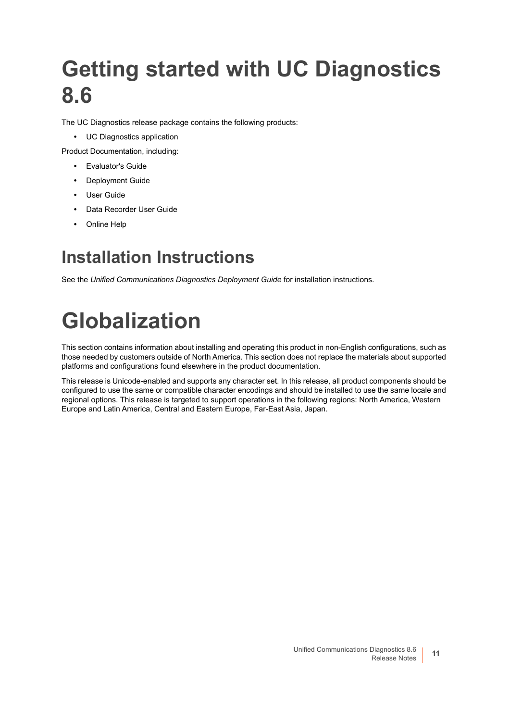# **Getting started with UC Diagnostics 8.6**

The UC Diagnostics release package contains the following products:

**•** UC Diagnostics application

Product Documentation, including:

- **•** Evaluator's Guide
- **•** Deployment Guide
- **•** User Guide
- **•** Data Recorder User Guide
- **•** Online Help

### **Installation Instructions**

See the *Unified Communications Diagnostics Deployment Guide* for installation instructions.

# <span id="page-10-0"></span>**Globalization**

This section contains information about installing and operating this product in non-English configurations, such as those needed by customers outside of North America. This section does not replace the materials about supported platforms and configurations found elsewhere in the product documentation.

This release is Unicode-enabled and supports any character set. In this release, all product components should be configured to use the same or compatible character encodings and should be installed to use the same locale and regional options. This release is targeted to support operations in the following regions: North America, Western Europe and Latin America, Central and Eastern Europe, Far-East Asia, Japan.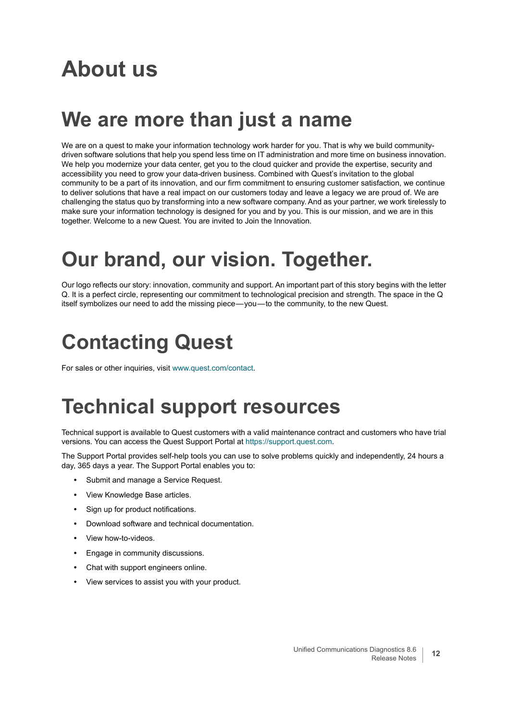## **About us**

### **We are more than just a name**

We are on a quest to make your information technology work harder for you. That is why we build communitydriven software solutions that help you spend less time on IT administration and more time on business innovation. We help you modernize your data center, get you to the cloud quicker and provide the expertise, security and accessibility you need to grow your data-driven business. Combined with Quest's invitation to the global community to be a part of its innovation, and our firm commitment to ensuring customer satisfaction, we continue to deliver solutions that have a real impact on our customers today and leave a legacy we are proud of. We are challenging the status quo by transforming into a new software company. And as your partner, we work tirelessly to make sure your information technology is designed for you and by you. This is our mission, and we are in this together. Welcome to a new Quest. You are invited to Join the Innovation.

### **Our brand, our vision. Together.**

Our logo reflects our story: innovation, community and support. An important part of this story begins with the letter Q. It is a perfect circle, representing our commitment to technological precision and strength. The space in the Q itself symbolizes our need to add the missing piece — you — to the community, to the new Quest.

### **Contacting Quest**

For sales or other inquiries, visit [www.quest.com/contact.](https://www.quest.com/company/contact-us.aspx)

### **Technical support resources**

Technical support is available to Quest customers with a valid maintenance contract and customers who have trial versions. You can access the Quest Support Portal at [https://support.quest.com.](https://support.quest.com)

The Support Portal provides self-help tools you can use to solve problems quickly and independently, 24 hours a day, 365 days a year. The Support Portal enables you to:

- **•** Submit and manage a Service Request.
- **•** View Knowledge Base articles.
- **•** Sign up for product notifications.
- **•** Download software and technical documentation.
- **•** View how-to-videos.
- **•** Engage in community discussions.
- **•** Chat with support engineers online.
- **•** View services to assist you with your product.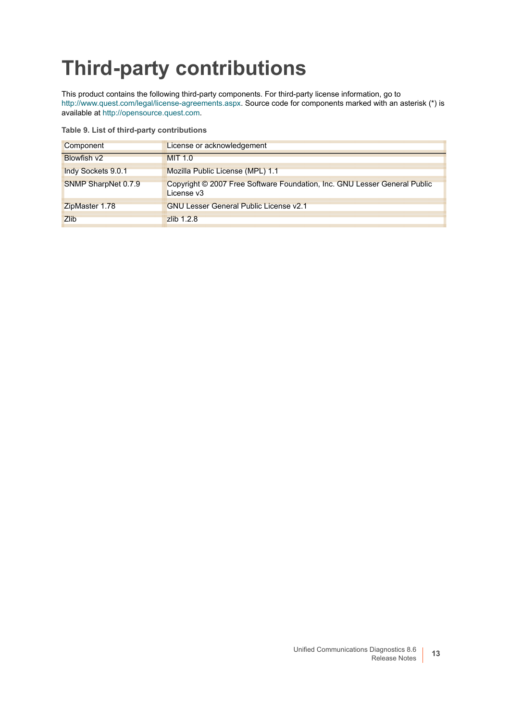# <span id="page-12-0"></span>**Third-party contributions**

This product contains the following third-party components. For third-party license information, go to <http://www.quest.com/legal/license-agreements.aspx>. Source code for components marked with an asterisk (\*) is available at <http://opensource.quest.com>.

**Table 9. List of third-party contributions**

| Component           | License or acknowledgement                                                              |
|---------------------|-----------------------------------------------------------------------------------------|
| <b>Blowfish v2</b>  | MIT 1.0                                                                                 |
| Indy Sockets 9.0.1  | Mozilla Public License (MPL) 1.1                                                        |
| SNMP SharpNet 0.7.9 | Copyright © 2007 Free Software Foundation, Inc. GNU Lesser General Public<br>License v3 |
| ZipMaster 1.78      | GNU Lesser General Public License v2.1                                                  |
| <b>Zlib</b>         | zlih 1 2 8                                                                              |